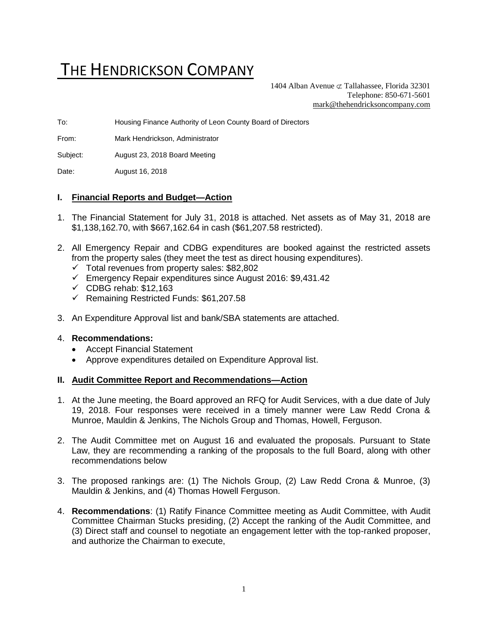# THE HENDRICKSON COMPANY

1404 Alban Avenue  $\subset \text{Tallahasse}$ , Florida 32301 Telephone: 850-671-5601 [mark@thehendricksoncompany.com](mailto:mark@thehendricksoncompany.com)

To: Housing Finance Authority of Leon County Board of Directors

From: Mark Hendrickson, Administrator

Subject: August 23, 2018 Board Meeting

Date: August 16, 2018

#### **I. Financial Reports and Budget—Action**

- 1. The Financial Statement for July 31, 2018 is attached. Net assets as of May 31, 2018 are \$1,138,162.70, with \$667,162.64 in cash (\$61,207.58 restricted).
- 2. All Emergency Repair and CDBG expenditures are booked against the restricted assets from the property sales (they meet the test as direct housing expenditures).
	- ✓ Total revenues from property sales: \$82,802
	- ✓ Emergency Repair expenditures since August 2016: \$9,431.42
	- $\checkmark$  CDBG rehab: \$12,163
	- ✓ Remaining Restricted Funds: \$61,207.58
- 3. An Expenditure Approval list and bank/SBA statements are attached.

#### 4. **Recommendations:**

- Accept Financial Statement
- Approve expenditures detailed on Expenditure Approval list.

#### **II. Audit Committee Report and Recommendations—Action**

- 1. At the June meeting, the Board approved an RFQ for Audit Services, with a due date of July 19, 2018. Four responses were received in a timely manner were Law Redd Crona & Munroe, Mauldin & Jenkins, The Nichols Group and Thomas, Howell, Ferguson.
- 2. The Audit Committee met on August 16 and evaluated the proposals. Pursuant to State Law, they are recommending a ranking of the proposals to the full Board, along with other recommendations below
- 3. The proposed rankings are: (1) The Nichols Group, (2) Law Redd Crona & Munroe, (3) Mauldin & Jenkins, and (4) Thomas Howell Ferguson.
- 4. **Recommendations**: (1) Ratify Finance Committee meeting as Audit Committee, with Audit Committee Chairman Stucks presiding, (2) Accept the ranking of the Audit Committee, and (3) Direct staff and counsel to negotiate an engagement letter with the top-ranked proposer, and authorize the Chairman to execute,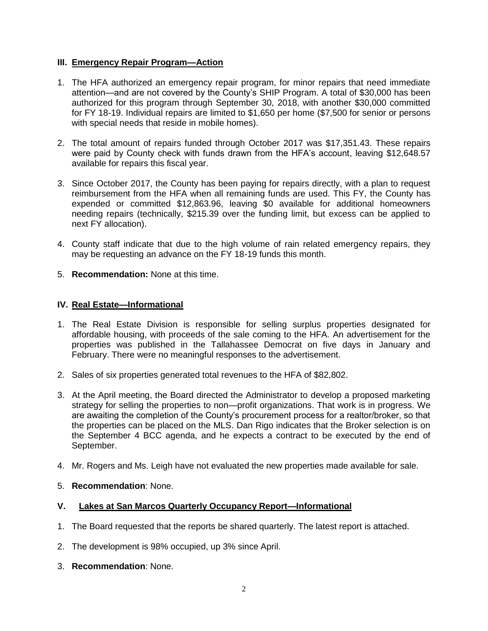#### **III. Emergency Repair Program—Action**

- 1. The HFA authorized an emergency repair program, for minor repairs that need immediate attention—and are not covered by the County's SHIP Program. A total of \$30,000 has been authorized for this program through September 30, 2018, with another \$30,000 committed for FY 18-19. Individual repairs are limited to \$1,650 per home (\$7,500 for senior or persons with special needs that reside in mobile homes).
- 2. The total amount of repairs funded through October 2017 was \$17,351.43. These repairs were paid by County check with funds drawn from the HFA's account, leaving \$12,648.57 available for repairs this fiscal year.
- 3. Since October 2017, the County has been paying for repairs directly, with a plan to request reimbursement from the HFA when all remaining funds are used. This FY, the County has expended or committed \$12,863.96, leaving \$0 available for additional homeowners needing repairs (technically, \$215.39 over the funding limit, but excess can be applied to next FY allocation).
- 4. County staff indicate that due to the high volume of rain related emergency repairs, they may be requesting an advance on the FY 18-19 funds this month.
- 5. **Recommendation:** None at this time.

#### **IV. Real Estate—Informational**

- 1. The Real Estate Division is responsible for selling surplus properties designated for affordable housing, with proceeds of the sale coming to the HFA. An advertisement for the properties was published in the Tallahassee Democrat on five days in January and February. There were no meaningful responses to the advertisement.
- 2. Sales of six properties generated total revenues to the HFA of \$82,802.
- 3. At the April meeting, the Board directed the Administrator to develop a proposed marketing strategy for selling the properties to non—profit organizations. That work is in progress. We are awaiting the completion of the County's procurement process for a realtor/broker, so that the properties can be placed on the MLS. Dan Rigo indicates that the Broker selection is on the September 4 BCC agenda, and he expects a contract to be executed by the end of September.
- 4. Mr. Rogers and Ms. Leigh have not evaluated the new properties made available for sale.
- 5. **Recommendation**: None.

#### **V. Lakes at San Marcos Quarterly Occupancy Report—Informational**

- 1. The Board requested that the reports be shared quarterly. The latest report is attached.
- 2. The development is 98% occupied, up 3% since April.
- 3. **Recommendation**: None.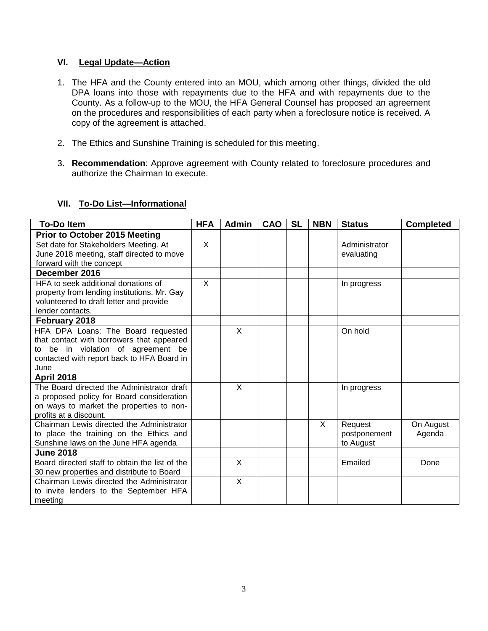#### **VI. Legal Update—Action**

- 1. The HFA and the County entered into an MOU, which among other things, divided the old DPA loans into those with repayments due to the HFA and with repayments due to the County. As a follow-up to the MOU, the HFA General Counsel has proposed an agreement on the procedures and responsibilities of each party when a foreclosure notice is received. A copy of the agreement is attached.
- 2. The Ethics and Sunshine Training is scheduled for this meeting.
- 3. **Recommendation**: Approve agreement with County related to foreclosure procedures and authorize the Chairman to execute.

### **VII. To-Do List—Informational**

| <b>To-Do Item</b>                              | <b>HFA</b> | <b>Admin</b>   | CAO | <b>SL</b> | <b>NBN</b> | <b>Status</b> | <b>Completed</b> |
|------------------------------------------------|------------|----------------|-----|-----------|------------|---------------|------------------|
| <b>Prior to October 2015 Meeting</b>           |            |                |     |           |            |               |                  |
| Set date for Stakeholders Meeting. At          | X          |                |     |           |            | Administrator |                  |
| June 2018 meeting, staff directed to move      |            |                |     |           |            | evaluating    |                  |
| forward with the concept                       |            |                |     |           |            |               |                  |
| December 2016                                  |            |                |     |           |            |               |                  |
| HFA to seek additional donations of            | X          |                |     |           |            | In progress   |                  |
| property from lending institutions. Mr. Gay    |            |                |     |           |            |               |                  |
| volunteered to draft letter and provide        |            |                |     |           |            |               |                  |
| lender contacts.                               |            |                |     |           |            |               |                  |
| February 2018                                  |            |                |     |           |            |               |                  |
| HFA DPA Loans: The Board requested             |            | X              |     |           |            | On hold       |                  |
| that contact with borrowers that appeared      |            |                |     |           |            |               |                  |
| to be in violation of agreement be             |            |                |     |           |            |               |                  |
| contacted with report back to HFA Board in     |            |                |     |           |            |               |                  |
| June                                           |            |                |     |           |            |               |                  |
| <b>April 2018</b>                              |            |                |     |           |            |               |                  |
| The Board directed the Administrator draft     |            | X              |     |           |            | In progress   |                  |
| a proposed policy for Board consideration      |            |                |     |           |            |               |                  |
| on ways to market the properties to non-       |            |                |     |           |            |               |                  |
| profits at a discount.                         |            |                |     |           |            |               |                  |
| Chairman Lewis directed the Administrator      |            |                |     |           | $\times$   | Request       | On August        |
| to place the training on the Ethics and        |            |                |     |           |            | postponement  | Agenda           |
| Sunshine laws on the June HFA agenda           |            |                |     |           |            | to August     |                  |
| <b>June 2018</b>                               |            |                |     |           |            |               |                  |
| Board directed staff to obtain the list of the |            | X              |     |           |            | Emailed       | Done             |
| 30 new properties and distribute to Board      |            |                |     |           |            |               |                  |
| Chairman Lewis directed the Administrator      |            | $\overline{X}$ |     |           |            |               |                  |
| to invite lenders to the September HFA         |            |                |     |           |            |               |                  |
| meeting                                        |            |                |     |           |            |               |                  |